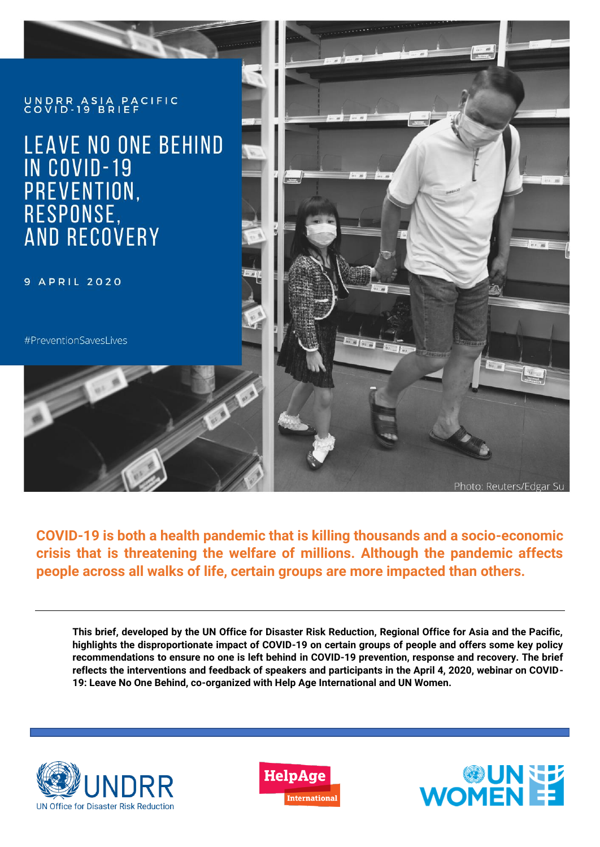

**COVID-19 is both a health pandemic that is killing thousands and a socio-economic crisis that is threatening the welfare of millions. Although the pandemic affects people across all walks of life, certain groups are more impacted than others.** 

**This brief, developed by the UN Office for Disaster Risk Reduction, Regional Office for Asia and the Pacific, highlights the disproportionate impact of COVID-19 on certain groups of people and offers some key policy recommendations to ensure no one is left behind in COVID-19 prevention, response and recovery. The brief reflects the interventions and feedback of speakers and participants in the April 4, 2020, webinar on COVID-19: Leave No One Behind, co-organized with Help Age International and UN Women.** 





Ĩ

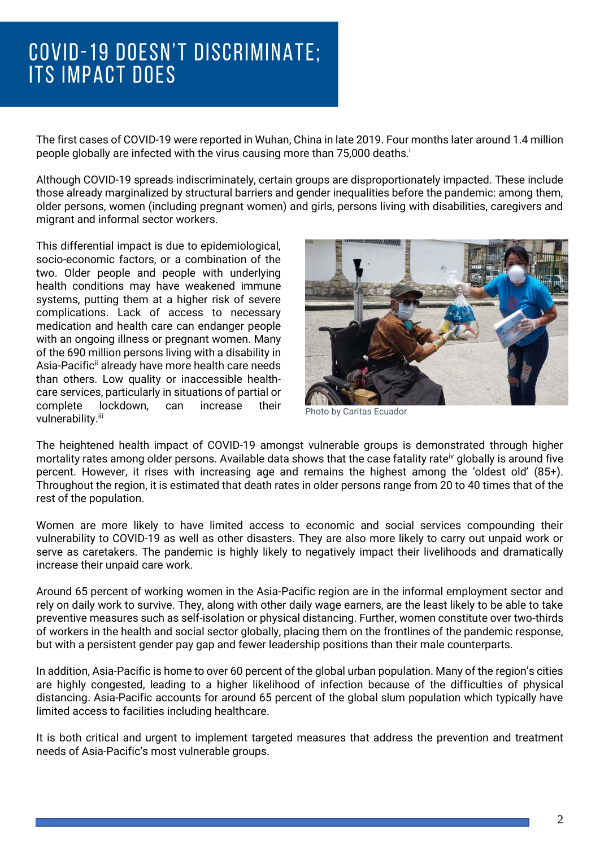# ſ **ITS IMPACT DOES**

The first cases of COVID-19 were reported in Wuhan, China in late 2019. Four months later around 1.4 million people globally are infected with the virus causing more than 75,000 deaths.<sup>i</sup>

i

Although COVID-19 spreads indiscriminately, certain groups are disproportionately impacted. These include those already marginalized by structural barriers and gender inequalities before the pandemic: among them, older persons, women (including pregnant women) and girls, persons living with disabilities, caregivers and migrant and informal sector workers.

This differential impact is due to epidemiological, socio-economic factors, or a combination of the two. Older people and people with underlying health conditions may have weakened immune systems, putting them at a higher risk of severe complications. Lack of access to necessary medication and health care can endanger people with an ongoing illness or pregnant women. Many of the 690 million persons living with a disability in Asia-Pacific<sup>ii</sup> already have more health care needs than others. Low quality or inaccessible healthcare services, particularly in situations of partial or complete lockdown, can increase their vulnerability.<sup>iii</sup>



Photo by Caritas Ecuador

The heightened health impact of COVID-19 amongst vulnerable groups is demonstrated through higher mortality rates among older persons. Available data shows that the case fatality rate<sup>iv</sup> globally is around five percent. However, it rises with increasing age and remains the highest among the 'oldest old' (85+). Throughout the region, it is estimated that death rates in older persons range from 20 to 40 times that of the rest of the population.

Women are more likely to have limited access to economic and social services compounding their vulnerability to COVID-19 as well as other disasters. They are also more likely to carry out unpaid work or serve as caretakers. The pandemic is highly likely to negatively impact their livelihoods and dramatically increase their unpaid care work.

Around 65 percent of working women in the Asia-Pacific region are in the informal employment sector and rely on daily work to survive. They, along with other daily wage earners, are the least likely to be able to take preventive measures such as self-isolation or physical distancing. Further, women constitute over two-thirds of workers in the health and social sector globally, placing them on the frontlines of the pandemic response, but with a persistent gender pay gap and fewer leadership positions than their male counterparts.

In addition, Asia-Pacific is home to over 60 percent of the global urban population. Many of the region's cities are highly congested, leading to a higher likelihood of infection because of the difficulties of physical distancing. Asia-Pacific accounts for around 65 percent of the global slum population which typically have limited access to facilities including healthcare.

It is both critical and urgent to implement targeted measures that address the prevention and treatment needs of Asia-Pacific's most vulnerable groups.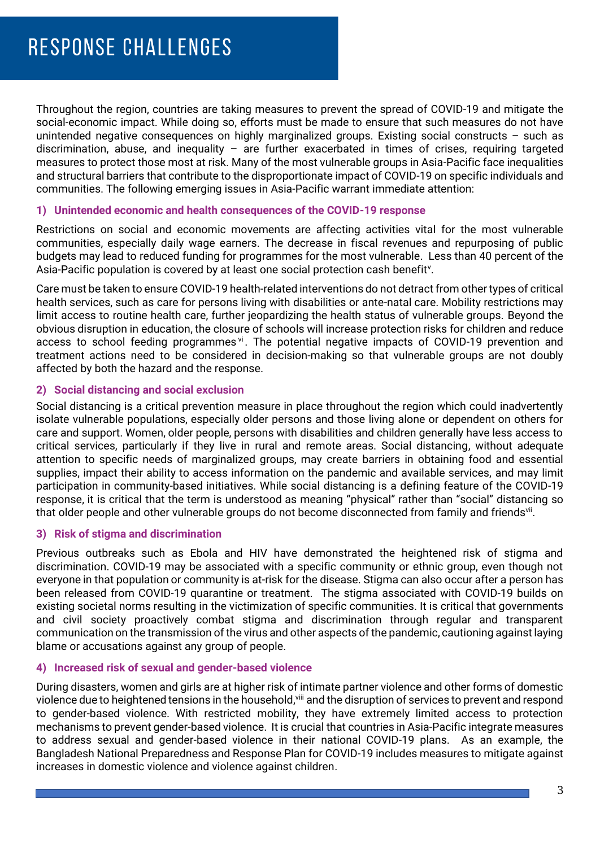Throughout the region, countries are taking measures to prevent the spread of COVID-19 and mitigate the social-economic impact. While doing so, efforts must be made to ensure that such measures do not have unintended negative consequences on highly marginalized groups. Existing social constructs – such as discrimination, abuse, and inequality – are further exacerbated in times of crises, requiring targeted measures to protect those most at risk. Many of the most vulnerable groups in Asia-Pacific face inequalities and structural barriers that contribute to the disproportionate impact of COVID-19 on specific individuals and communities. The following emerging issues in Asia-Pacific warrant immediate attention:

### **1) Unintended economic and health consequences of the COVID-19 response**

Restrictions on social and economic movements are affecting activities vital for the most vulnerable communities, especially daily wage earners. The decrease in fiscal revenues and repurposing of public budgets may lead to reduced funding for programmes for the most vulnerable. Less than 40 percent of the Asia-Pacific population is covered by at least one social protection cash benefit<sup>v</sup>.

Care must be taken to ensure COVID-19 health-related interventions do not detract from other types of critical health services, such as care for persons living with disabilities or ante-natal care. Mobility restrictions may limit access to routine health care, further jeopardizing the health status of vulnerable groups. Beyond the obvious disruption in education, the closure of schools will increase protection risks for children and reduce access to school feeding programmes v<sup>i</sup>. The potential negative impacts of COVID-19 prevention and treatment actions need to be considered in decision-making so that vulnerable groups are not doubly affected by both the hazard and the response.

# **2) Social distancing and social exclusion**

Social distancing is a critical prevention measure in place throughout the region which could inadvertently isolate vulnerable populations, especially older persons and those living alone or dependent on others for care and support. Women, older people, persons with disabilities and children generally have less access to critical services, particularly if they live in rural and remote areas. Social distancing, without adequate attention to specific needs of marginalized groups, may create barriers in obtaining food and essential supplies, impact their ability to access information on the pandemic and available services, and may limit participation in community-based initiatives. While social distancing is a defining feature of the COVID-19 response, it is critical that the term is understood as meaning "physical" rather than "social" distancing so that older people and other vulnerable groups do not become disconnected from family and friends<sup>vii</sup>.

# **3) Risk of stigma and discrimination**

Previous outbreaks such as Ebola and HIV have demonstrated the heightened risk of stigma and discrimination. COVID-19 may be associated with a specific community or ethnic group, even though not everyone in that population or community is at-risk for the disease. Stigma can also occur after a person has been released from COVID-19 quarantine or treatment. The stigma associated with COVID-19 builds on existing societal norms resulting in the victimization of specific communities. It is critical that governments and civil society proactively combat stigma and discrimination through regular and transparent communication on the transmission of the virus and other aspects of the pandemic, cautioning against laying blame or accusations against any group of people.

#### **4) Increased risk of sexual and gender-based violence**

During disasters, women and girls are at higher risk of intimate partner violence and other forms of domestic violence due to heightened tensions in the household, viii and the disruption of services to prevent and respond to gender-based violence. With restricted mobility, they have extremely limited access to protection mechanisms to prevent gender-based violence. It is crucial that countries in Asia-Pacific integrate measures to address sexual and gender-based violence in their national COVID-19 plans. As an example, the Bangladesh National Preparedness and Response Plan for COVID-19 includes measures to mitigate against increases in domestic violence and violence against children.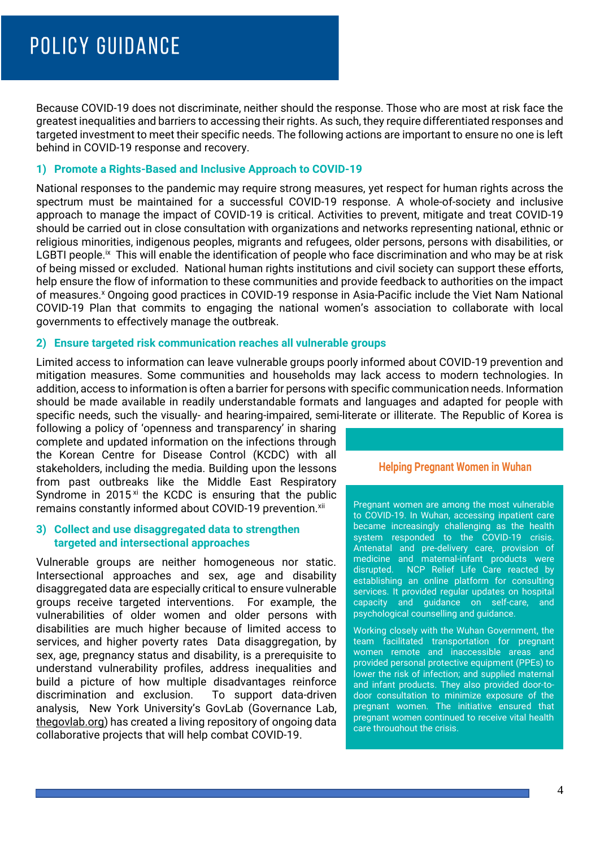Because COVID-19 does not discriminate, neither should the response. Those who are most at risk face the greatest inequalities and barriers to accessing their rights. As such, they require differentiated responses and targeted investment to meet their specific needs. The following actions are important to ensure no one is left behind in COVID-19 response and recovery.

#### **1) Promote a Rights-Based and Inclusive Approach to COVID-19**

National responses to the pandemic may require strong measures, yet respect for human rights across the spectrum must be maintained for a successful COVID-19 response. A whole-of-society and inclusive approach to manage the impact of COVID-19 is critical. Activities to prevent, mitigate and treat COVID-19 should be carried out in close consultation with organizations and networks representing national, ethnic or religious minorities, indigenous peoples, migrants and refugees, older persons, persons with disabilities, or LGBTI people.<sup>ix</sup> This will enable the identification of people who face discrimination and who may be at risk of being missed or excluded. National human rights institutions and civil society can support these efforts, help ensure the flow of information to these communities and provide feedback to authorities on the impact of measures.<sup>x</sup> Ongoing good practices in COVID-19 response in Asia-Pacific include the Viet Nam National COVID-19 Plan that commits to engaging the national women's association to collaborate with local governments to effectively manage the outbreak.

#### **2) Ensure targeted risk communication reaches all vulnerable groups**

Limited access to information can leave vulnerable groups poorly informed about COVID-19 prevention and mitigation measures. Some communities and households may lack access to modern technologies. In addition, access to information is often a barrier for persons with specific communication needs. Information should be made available in readily understandable formats and languages and adapted for people with specific needs, such the visually- and hearing-impaired, semi-literate or illiterate. The Republic of Korea is

following a policy of 'openness and transparency' in sharing complete and updated information on the infections through the Korean Centre for Disease Control (KCDC) with all stakeholders, including the media. Building upon the lessons from past outbreaks like the Middle East Respiratory Syndrome in  $2015<sup>xi</sup>$  the KCDC is ensuring that the public remains constantly informed about COVID-19 prevention.<sup>xii</sup>

#### **3) Collect and use disaggregated data to strengthen targeted and intersectional approaches**

Vulnerable groups are neither homogeneous nor static. Intersectional approaches and sex, age and disability disaggregated data are especially critical to ensure vulnerable groups receive targeted interventions. For example, the vulnerabilities of older women and older persons with disabilities are much higher because of limited access to services, and higher poverty rates Data disaggregation, by sex, age, pregnancy status and disability, is a prerequisite to understand vulnerability profiles, address inequalities and build a picture of how multiple disadvantages reinforce discrimination and exclusion. To support data-driven analysis, New York University's GovLab (Governance Lab, [thegovlab.org\)](http://www.thegovlab.org/) has created a living repository of ongoing data collaborative projects that will help combat COVID-19.

#### **Helping Pregnant Women in Wuhan**

Pregnant women are among the most vulnerable to COVID-19. In Wuhan, accessing inpatient care became increasingly challenging as the health system responded to the COVID-19 crisis. Antenatal and pre-delivery care, provision of medicine and maternal-infant products were disrupted. NCP Relief Life Care reacted by establishing an online platform for consulting services. It provided regular updates on hospital capacity and guidance on self-care, and psychological counselling and guidance.

Working closely with the Wuhan Government, the team facilitated transportation for pregnant women remote and inaccessible areas and provided personal protective equipment (PPEs) to lower the risk of infection; and supplied maternal and infant products. They also provided door-todoor consultation to minimize exposure of the pregnant women. The initiative ensured that pregnant women continued to receive vital health care throughout the crisis.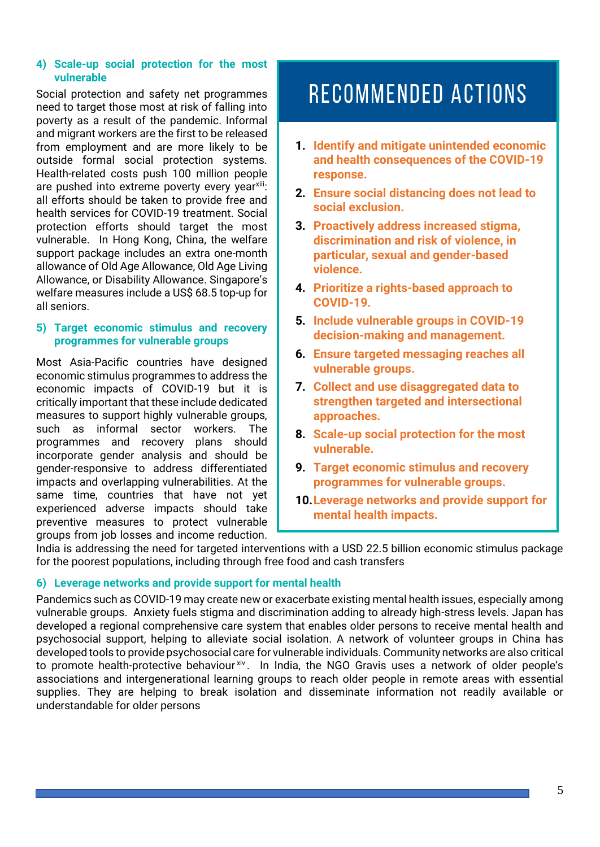#### **4) Scale-up social protection for the most vulnerable**

Social protection and safety net programmes need to target those most at risk of falling into poverty as a result of the pandemic. Informal and migrant workers are the first to be released from employment and are more likely to be outside formal social protection systems. Health-related costs push 100 million people are pushed into extreme poverty every year<sup>xiii</sup>: all efforts should be taken to provide free and health services for COVID-19 treatment. Social protection efforts should target the most vulnerable. In Hong Kong, China, the welfare support package includes an extra one-month allowance of Old Age Allowance, Old Age Living Allowance, or Disability Allowance. Singapore's welfare measures include a US\$ 68.5 top-up for all seniors.

#### **5) Target economic stimulus and recovery programmes for vulnerable groups**

Most Asia-Pacific countries have designed economic stimulus programmes to address the economic impacts of COVID-19 but it is critically important that these include dedicated measures to support highly vulnerable groups, such as informal sector workers. The programmes and recovery plans should incorporate gender analysis and should be gender-responsive to address differentiated impacts and overlapping vulnerabilities. At the same time, countries that have not yet experienced adverse impacts should take preventive measures to protect vulnerable groups from job losses and income reduction.

# **RECOMMENDED ACTIONS**

- **1. Identify and mitigate unintended economic and health consequences of the COVID-19 response.**
- **2. Ensure social distancing does not lead to social exclusion.**
- **3. Proactively address increased stigma, discrimination and risk of violence, in particular, sexual and gender-based violence.**
- **4. Prioritize a rights-based approach to COVID-19.**
- **5. Include vulnerable groups in COVID-19 decision-making and management.**
- **6. Ensure targeted messaging reaches all vulnerable groups.**
- **7. Collect and use disaggregated data to strengthen targeted and intersectional approaches.**
- **8. Scale-up social protection for the most vulnerable.**
- **9. Target economic stimulus and recovery programmes for vulnerable groups.**
- **10.Leverage networks and provide support for mental health impacts.**

India is addressing the need for targeted interventions with a USD 22.5 billion economic stimulus package for the poorest populations, including through free food and cash transfers

# **6) Leverage networks and provide support for mental health**

Pandemics such as COVID-19 may create new or exacerbate existing mental health issues, especially among vulnerable groups. Anxiety fuels stigma and discrimination adding to already high-stress levels. Japan has developed a regional comprehensive care system that enables older persons to receive mental health and psychosocial support, helping to alleviate social isolation. A network of volunteer groups in China has developed tools to provide psychosocial care for vulnerable individuals. Community networks are also critical to promote health-protective behaviour<sup>xiv</sup>. In India, the NGO Gravis uses a network of older people's associations and intergenerational learning groups to reach older people in remote areas with essential supplies. They are helping to break isolation and disseminate information not readily available or understandable for older persons